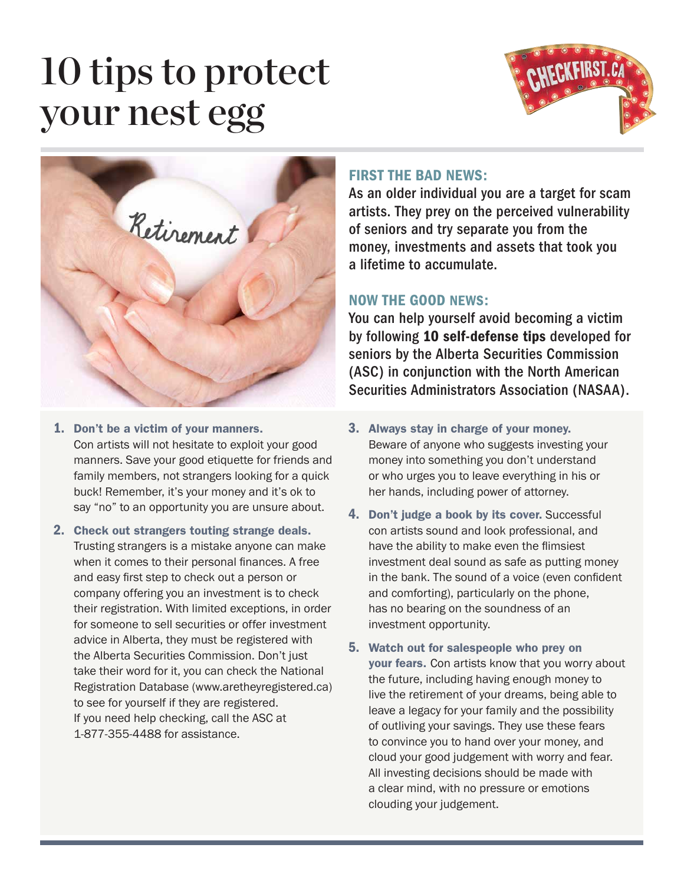## 10 tips to protect your nest egg





- 1. Don't be a victim of your manners. Con artists will not hesitate to exploit your good manners. Save your good etiquette for friends and family members, not strangers looking for a quick buck! Remember, it's your money and it's ok to say "no" to an opportunity you are unsure about.
- 2. Check out strangers touting strange deals. Trusting strangers is a mistake anyone can make when it comes to their personal finances. A free and easy first step to check out a person or company offering you an investment is to check their registration. With limited exceptions, in order for someone to sell securities or offer investment advice in Alberta, they must be registered with the Alberta Securities Commission. Don't just take their word for it, you can check the National Registration Database (www.aretheyregistered.ca) to see for yourself if they are registered. If you need help checking, call the ASC at 1-877-355-4488 for assistance.

## FIRST THE BAD NEWS:

As an older individual you are a target for scam artists. They prey on the perceived vulnerability of seniors and try separate you from the money, investments and assets that took you a lifetime to accumulate.

## NOW THE GOOD NEWS:

You can help yourself avoid becoming a victim by following 10 self-defense tips developed for seniors by the Alberta Securities Commission (ASC) in conjunction with the North American Securities Administrators Association (NASAA).

- 3. Always stay in charge of your money. Beware of anyone who suggests investing your money into something you don't understand or who urges you to leave everything in his or her hands, including power of attorney.
- 4. Don't judge a book by its cover. Successful con artists sound and look professional, and have the ability to make even the flimsiest investment deal sound as safe as putting money in the bank. The sound of a voice (even confident and comforting), particularly on the phone, has no bearing on the soundness of an investment opportunity.
- 5. Watch out for salespeople who prey on your fears. Con artists know that you worry about the future, including having enough money to live the retirement of your dreams, being able to leave a legacy for your family and the possibility of outliving your savings. They use these fears to convince you to hand over your money, and cloud your good judgement with worry and fear. All investing decisions should be made with a clear mind, with no pressure or emotions clouding your judgement.